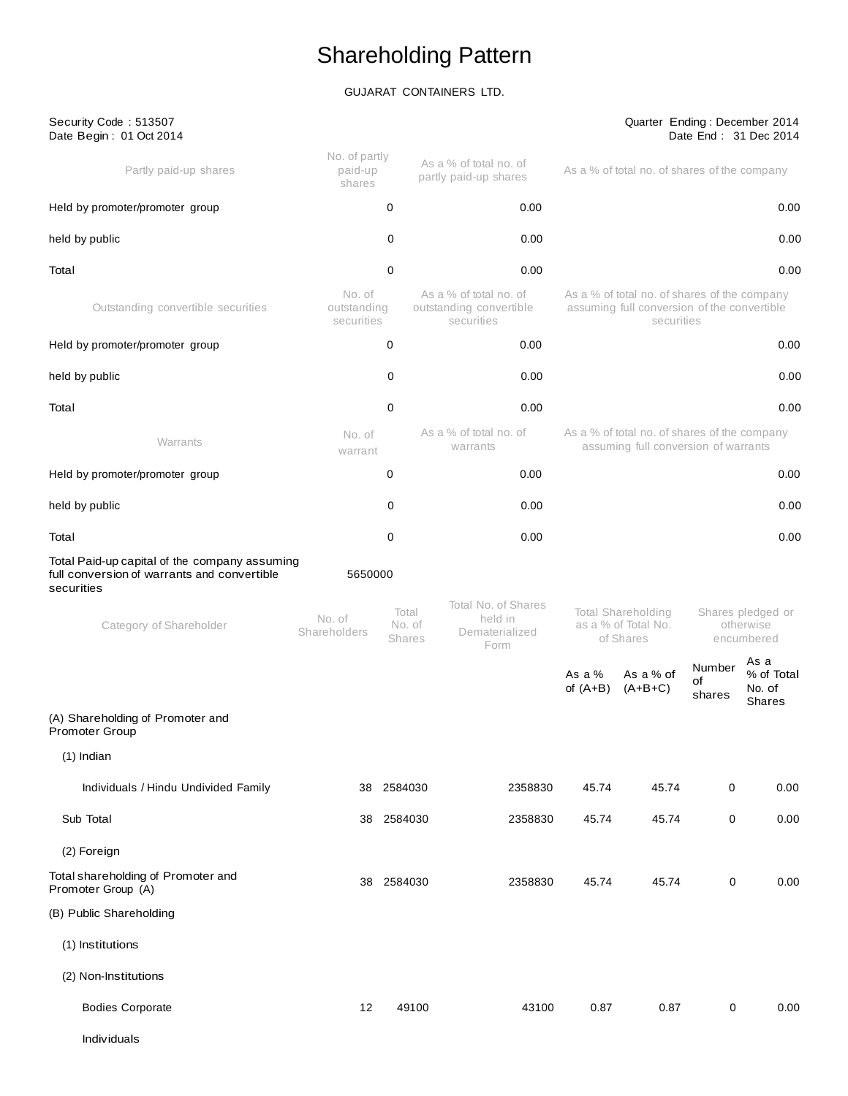# Shareholding Pattern

### GUJARAT CONTAINERS LTD.

| Security Code: 513507<br>Date Begin: 01 Oct 2014                                                           |                                     |                                  |                                                                 |                                                                                                           |                                                        |                        | Quarter Ending: December 2014<br>Date End: 31 Dec 2014 |
|------------------------------------------------------------------------------------------------------------|-------------------------------------|----------------------------------|-----------------------------------------------------------------|-----------------------------------------------------------------------------------------------------------|--------------------------------------------------------|------------------------|--------------------------------------------------------|
| Partly paid-up shares                                                                                      | No. of partly<br>paid-up<br>shares  |                                  | As a % of total no. of<br>partly paid-up shares                 |                                                                                                           | As a % of total no. of shares of the company           |                        |                                                        |
| Held by promoter/promoter group                                                                            |                                     | 0                                | 0.00                                                            |                                                                                                           |                                                        |                        | 0.00                                                   |
| held by public                                                                                             |                                     | 0                                | 0.00                                                            |                                                                                                           |                                                        |                        | 0.00                                                   |
| Total                                                                                                      |                                     | 0                                | 0.00                                                            |                                                                                                           |                                                        |                        | 0.00                                                   |
| Outstanding convertible securities                                                                         | No. of<br>outstanding<br>securities |                                  | As a % of total no. of<br>outstanding convertible<br>securities | As a % of total no. of shares of the company<br>assuming full conversion of the convertible<br>securities |                                                        |                        |                                                        |
| Held by promoter/promoter group                                                                            |                                     | 0                                | 0.00                                                            |                                                                                                           |                                                        |                        | 0.00                                                   |
| held by public                                                                                             |                                     | 0                                | 0.00                                                            |                                                                                                           |                                                        |                        | 0.00                                                   |
| Total                                                                                                      |                                     | 0                                | 0.00                                                            |                                                                                                           |                                                        |                        | 0.00                                                   |
| Warrants                                                                                                   | No. of<br>warrant                   |                                  | As a % of total no, of<br>warrants                              | As a % of total no. of shares of the company<br>assuming full conversion of warrants                      |                                                        |                        |                                                        |
| Held by promoter/promoter group                                                                            |                                     | 0                                | 0.00                                                            |                                                                                                           |                                                        |                        | 0.00                                                   |
| held by public                                                                                             |                                     | 0                                | 0.00                                                            |                                                                                                           |                                                        |                        | 0.00                                                   |
| Total                                                                                                      |                                     | 0                                | 0.00                                                            |                                                                                                           |                                                        |                        | 0.00                                                   |
| Total Paid-up capital of the company assuming<br>full conversion of warrants and convertible<br>securities | 5650000                             |                                  |                                                                 |                                                                                                           |                                                        |                        |                                                        |
| Category of Shareholder                                                                                    | No. of<br>Shareholders              | Total<br>No. of<br><b>Shares</b> | Total No. of Shares<br>held in<br>Dematerialized<br>Form        |                                                                                                           | Total Shareholding<br>as a % of Total No.<br>of Shares |                        | Shares pledged or<br>otherwise<br>encumbered           |
|                                                                                                            |                                     |                                  |                                                                 | As a $%$<br>of $(A+B)$                                                                                    | As a % of<br>$(A+B+C)$                                 | Number<br>οf<br>shares | As a<br>% of Total<br>No. of<br><b>Shares</b>          |
| (A) Shareholding of Promoter and<br>Promoter Group                                                         |                                     |                                  |                                                                 |                                                                                                           |                                                        |                        |                                                        |
| $(1)$ Indian                                                                                               |                                     |                                  |                                                                 |                                                                                                           |                                                        |                        |                                                        |
| Individuals / Hindu Undivided Family                                                                       |                                     | 38 2584030                       | 2358830                                                         | 45.74                                                                                                     | 45.74                                                  | 0                      | 0.00                                                   |
| Sub Total                                                                                                  | 38                                  | 2584030                          | 2358830                                                         | 45.74                                                                                                     | 45.74                                                  | $\pmb{0}$              | 0.00                                                   |
| (2) Foreign                                                                                                |                                     |                                  |                                                                 |                                                                                                           |                                                        |                        |                                                        |
| Total shareholding of Promoter and<br>Promoter Group (A)                                                   |                                     | 38 2584030                       | 2358830                                                         | 45.74                                                                                                     | 45.74                                                  | 0                      | 0.00                                                   |
| (B) Public Shareholding                                                                                    |                                     |                                  |                                                                 |                                                                                                           |                                                        |                        |                                                        |
| (1) Institutions                                                                                           |                                     |                                  |                                                                 |                                                                                                           |                                                        |                        |                                                        |
| (2) Non-Institutions                                                                                       |                                     |                                  |                                                                 |                                                                                                           |                                                        |                        |                                                        |
| <b>Bodies Corporate</b>                                                                                    | 12                                  | 49100                            | 43100                                                           | 0.87                                                                                                      | 0.87                                                   | 0                      | 0.00                                                   |
| Individuals                                                                                                |                                     |                                  |                                                                 |                                                                                                           |                                                        |                        |                                                        |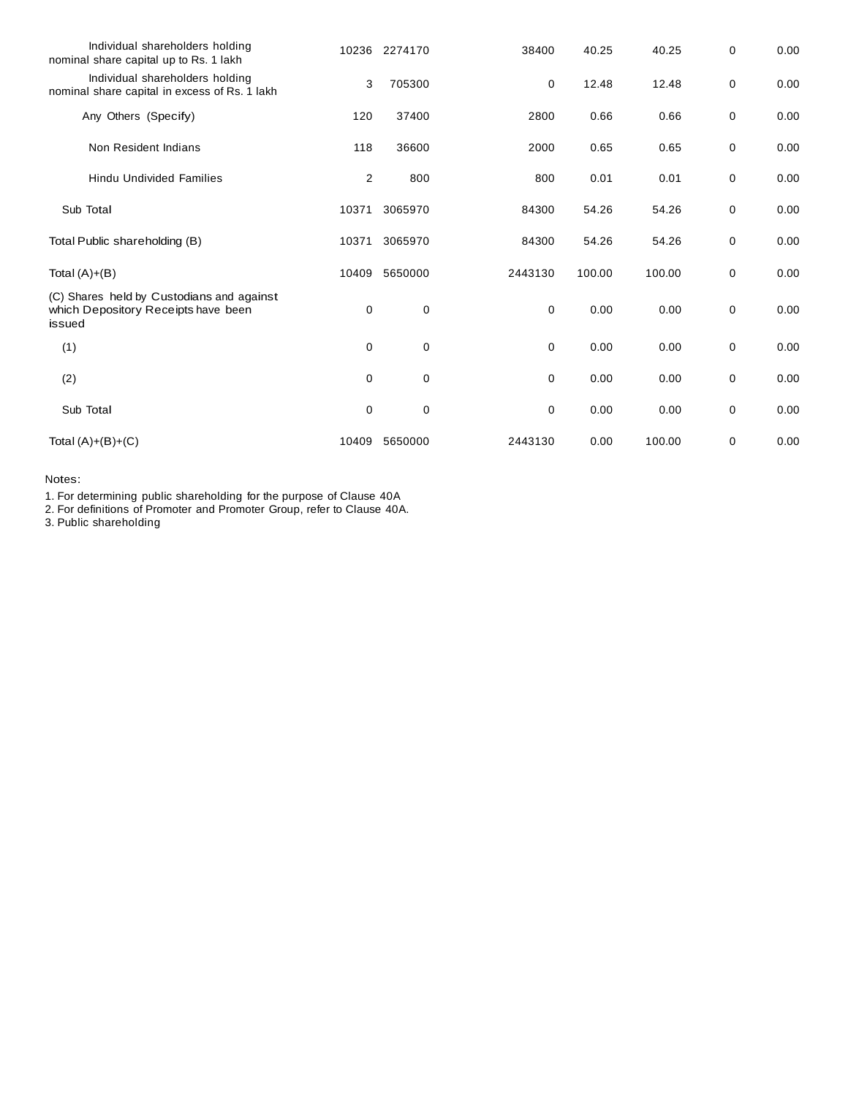| Individual shareholders holding<br>nominal share capital up to Rs. 1 lakh                  |             | 10236 2274170 | 38400       | 40.25  | 40.25  | 0 | 0.00 |
|--------------------------------------------------------------------------------------------|-------------|---------------|-------------|--------|--------|---|------|
| Individual shareholders holding<br>nominal share capital in excess of Rs. 1 lakh           | 3           | 705300        | 0           | 12.48  | 12.48  | 0 | 0.00 |
| Any Others (Specify)                                                                       | 120         | 37400         | 2800        | 0.66   | 0.66   | 0 | 0.00 |
| Non Resident Indians                                                                       | 118         | 36600         | 2000        | 0.65   | 0.65   | 0 | 0.00 |
| <b>Hindu Undivided Families</b>                                                            | 2           | 800           | 800         | 0.01   | 0.01   | 0 | 0.00 |
| Sub Total                                                                                  | 10371       | 3065970       | 84300       | 54.26  | 54.26  | 0 | 0.00 |
| Total Public shareholding (B)                                                              | 10371       | 3065970       | 84300       | 54.26  | 54.26  | 0 | 0.00 |
| Total $(A)+(B)$                                                                            | 10409       | 5650000       | 2443130     | 100.00 | 100.00 | 0 | 0.00 |
| (C) Shares held by Custodians and against<br>which Depository Receipts have been<br>issued | 0           | 0             | 0           | 0.00   | 0.00   | 0 | 0.00 |
| (1)                                                                                        | $\mathbf 0$ | $\mathbf 0$   | $\mathbf 0$ | 0.00   | 0.00   | 0 | 0.00 |
| (2)                                                                                        | 0           | 0             | 0           | 0.00   | 0.00   | 0 | 0.00 |
| Sub Total                                                                                  | 0           | 0             | 0           | 0.00   | 0.00   | 0 | 0.00 |
| Total $(A)+(B)+(C)$                                                                        | 10409       | 5650000       | 2443130     | 0.00   | 100.00 | 0 | 0.00 |

Notes:

1. For determining public shareholding for the purpose of Clause 40A

2. For definitions of Promoter and Promoter Group, refer to Clause 40A.

3. Public shareholding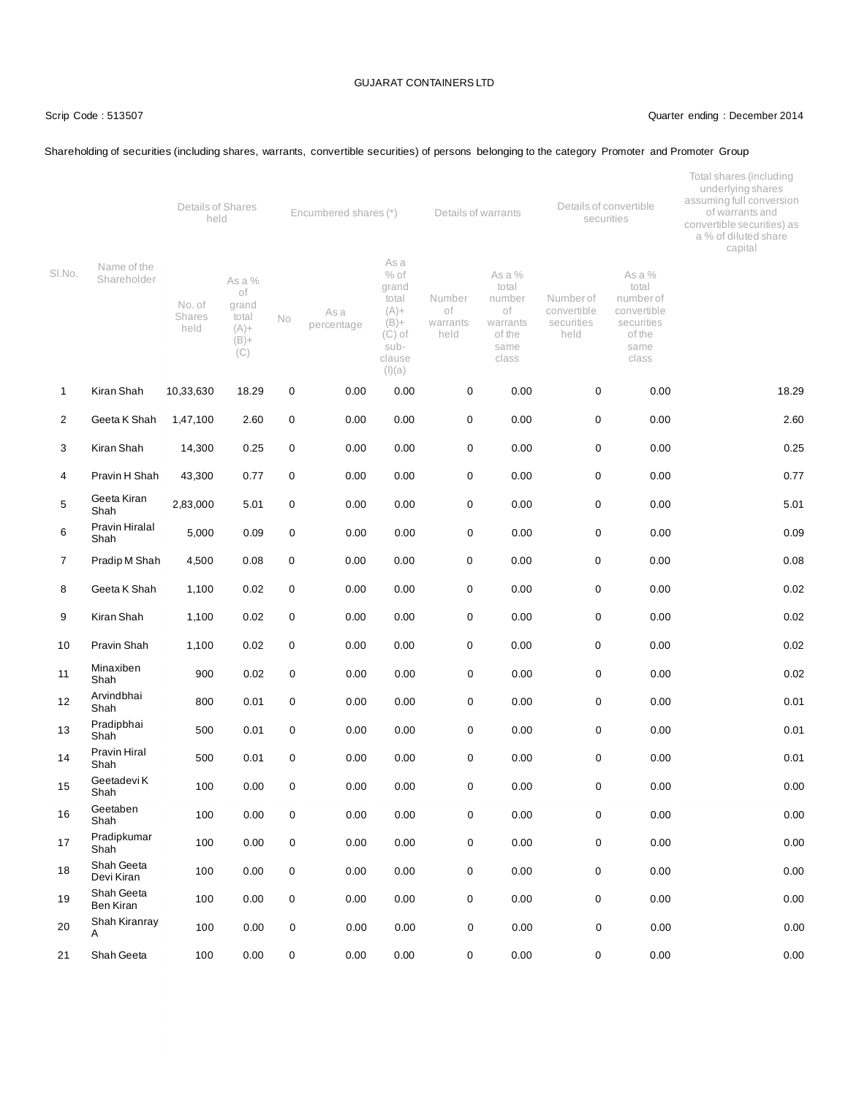Shareholding of securities (including shares, warrants, convertible securities) of persons belonging to the category Promoter and Promoter Group

### Scrip Code : 513507 Quarter ending : December 2014

|                |                            | Details of Shares<br>Encumbered shares (*)<br>held |                                                             |                  |                    |                                                                                                | Details of convertible<br>Details of warrants<br>securities |                                                                        |                                               |                                                                                      | Total shares (including<br>underlying shares<br>assuming full conversion<br>of warrants and<br>convertible securities) as<br>a % of diluted share<br>capital |  |
|----------------|----------------------------|----------------------------------------------------|-------------------------------------------------------------|------------------|--------------------|------------------------------------------------------------------------------------------------|-------------------------------------------------------------|------------------------------------------------------------------------|-----------------------------------------------|--------------------------------------------------------------------------------------|--------------------------------------------------------------------------------------------------------------------------------------------------------------|--|
| SI.No.         | Name of the<br>Shareholder | No. of<br><b>Shares</b><br>held                    | As a %<br>of<br>grand<br>total<br>$(A) +$<br>$(B) +$<br>(C) | No               | As a<br>percentage | As a<br>$%$ of<br>grand<br>total<br>$(A) +$<br>$(B) +$<br>$(C)$ of<br>sub-<br>clause<br>(I)(a) | Number<br>of<br>warrants<br>held                            | As a %<br>total<br>number<br>оf<br>warrants<br>of the<br>same<br>class | Numberof<br>convertible<br>securities<br>held | As a %<br>total<br>number of<br>convertible<br>securities<br>of the<br>same<br>class |                                                                                                                                                              |  |
| $\mathbf{1}$   | Kiran Shah                 | 10,33,630                                          | 18.29                                                       | 0                | 0.00               | 0.00                                                                                           | 0                                                           | 0.00                                                                   | $\mathbf 0$                                   | 0.00                                                                                 | 18.29                                                                                                                                                        |  |
| $\overline{2}$ | Geeta K Shah               | 1,47,100                                           | 2.60                                                        | 0                | 0.00               | 0.00                                                                                           | 0                                                           | 0.00                                                                   | 0                                             | 0.00                                                                                 | 2.60                                                                                                                                                         |  |
| 3              | Kiran Shah                 | 14,300                                             | 0.25                                                        | $\mathbf 0$      | 0.00               | 0.00                                                                                           | 0                                                           | 0.00                                                                   | $\mathbf 0$                                   | 0.00                                                                                 | 0.25                                                                                                                                                         |  |
| 4              | Pravin H Shah              | 43,300                                             | 0.77                                                        | $\mathbf 0$      | 0.00               | 0.00                                                                                           | 0                                                           | 0.00                                                                   | $\pmb{0}$                                     | 0.00                                                                                 | 0.77                                                                                                                                                         |  |
| 5              | Geeta Kiran<br>Shah        | 2,83,000                                           | 5.01                                                        | 0                | 0.00               | 0.00                                                                                           | 0                                                           | 0.00                                                                   | 0                                             | 0.00                                                                                 | 5.01                                                                                                                                                         |  |
| 6              | Pravin Hiralal<br>Shah     | 5,000                                              | 0.09                                                        | $\mathbf 0$      | 0.00               | 0.00                                                                                           | 0                                                           | 0.00                                                                   | 0                                             | 0.00                                                                                 | 0.09                                                                                                                                                         |  |
| $\overline{7}$ | Pradip M Shah              | 4,500                                              | 0.08                                                        | 0                | 0.00               | 0.00                                                                                           | 0                                                           | 0.00                                                                   | 0                                             | 0.00                                                                                 | 0.08                                                                                                                                                         |  |
| 8              | Geeta K Shah               | 1,100                                              | 0.02                                                        | 0                | 0.00               | 0.00                                                                                           | 0                                                           | 0.00                                                                   | 0                                             | 0.00                                                                                 | 0.02                                                                                                                                                         |  |
| 9              | Kiran Shah                 | 1,100                                              | 0.02                                                        | $\mathbf 0$      | 0.00               | 0.00                                                                                           | 0                                                           | 0.00                                                                   | 0                                             | 0.00                                                                                 | 0.02                                                                                                                                                         |  |
| 10             | Pravin Shah                | 1,100                                              | 0.02                                                        | 0                | 0.00               | 0.00                                                                                           | 0                                                           | 0.00                                                                   | 0                                             | 0.00                                                                                 | 0.02                                                                                                                                                         |  |
| 11             | Minaxiben<br>Shah          | 900                                                | 0.02                                                        | 0                | 0.00               | 0.00                                                                                           | 0                                                           | 0.00                                                                   | $\mathbf 0$                                   | 0.00                                                                                 | 0.02                                                                                                                                                         |  |
| 12             | Arvindbhai<br>Shah         | 800                                                | 0.01                                                        | $\mathsf 0$      | 0.00               | 0.00                                                                                           | 0                                                           | 0.00                                                                   | $\mathbf 0$                                   | 0.00                                                                                 | 0.01                                                                                                                                                         |  |
| 13             | Pradipbhai<br>Shah         | 500                                                | 0.01                                                        | 0                | 0.00               | 0.00                                                                                           | 0                                                           | 0.00                                                                   | $\mathbf 0$                                   | 0.00                                                                                 | 0.01                                                                                                                                                         |  |
| 14             | Pravin Hiral<br>Shah       | 500                                                | 0.01                                                        | 0                | 0.00               | 0.00                                                                                           | 0                                                           | 0.00                                                                   | $\mathbf 0$                                   | 0.00                                                                                 | 0.01                                                                                                                                                         |  |
| 15             | Geetadevi K<br>Shah        | 100                                                | 0.00                                                        | 0                | 0.00               | 0.00                                                                                           | 0                                                           | 0.00                                                                   | 0                                             | 0.00                                                                                 | 0.00                                                                                                                                                         |  |
| 16             | Geetaben<br>Shah           | 100                                                | 0.00                                                        | $\pmb{0}$        | 0.00               | 0.00                                                                                           | 0                                                           | 0.00                                                                   | $\pmb{0}$                                     | 0.00                                                                                 | 0.00                                                                                                                                                         |  |
| 17             | Pradipkumar<br>Shah        | 100                                                | 0.00                                                        | $\boldsymbol{0}$ | 0.00               | 0.00                                                                                           | 0                                                           | 0.00                                                                   | $\pmb{0}$                                     | 0.00                                                                                 | 0.00                                                                                                                                                         |  |
| 18             | Shah Geeta<br>Devi Kiran   | 100                                                | 0.00                                                        | $\mathbf 0$      | 0.00               | 0.00                                                                                           | 0                                                           | 0.00                                                                   | $\mathsf 0$                                   | 0.00                                                                                 | 0.00                                                                                                                                                         |  |
| 19             | Shah Geeta<br>Ben Kiran    | 100                                                | 0.00                                                        | $\mathbf 0$      | 0.00               | 0.00                                                                                           | 0                                                           | 0.00                                                                   | 0                                             | 0.00                                                                                 | 0.00                                                                                                                                                         |  |
| 20             | Shah Kiranray<br>Α         | 100                                                | 0.00                                                        | 0                | 0.00               | 0.00                                                                                           | 0                                                           | 0.00                                                                   | 0                                             | 0.00                                                                                 | 0.00                                                                                                                                                         |  |
| 21             | Shah Geeta                 | 100                                                | 0.00                                                        | $\mathbf 0$      | 0.00               | 0.00                                                                                           | 0                                                           | 0.00                                                                   | 0                                             | 0.00                                                                                 | 0.00                                                                                                                                                         |  |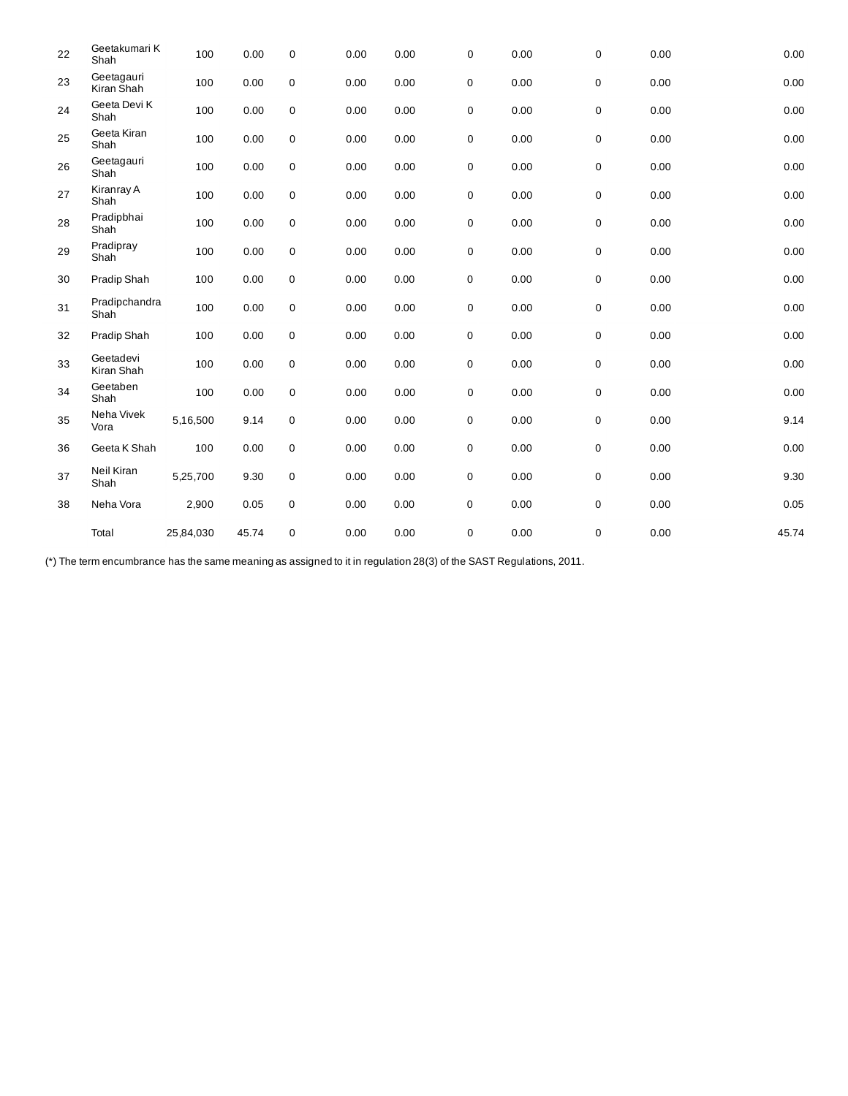| 22 | Geetakumari K<br>Shah    | 100       | 0.00  | $\mathbf 0$ | 0.00 | 0.00 | 0         | 0.00 | 0 | 0.00 | 0.00  |
|----|--------------------------|-----------|-------|-------------|------|------|-----------|------|---|------|-------|
| 23 | Geetagauri<br>Kiran Shah | 100       | 0.00  | $\mathsf 0$ | 0.00 | 0.00 | 0         | 0.00 | 0 | 0.00 | 0.00  |
| 24 | Geeta Devi K<br>Shah     | 100       | 0.00  | $\mathbf 0$ | 0.00 | 0.00 | 0         | 0.00 | 0 | 0.00 | 0.00  |
| 25 | Geeta Kiran<br>Shah      | 100       | 0.00  | $\mathbf 0$ | 0.00 | 0.00 | 0         | 0.00 | 0 | 0.00 | 0.00  |
| 26 | Geetagauri<br>Shah       | 100       | 0.00  | $\mathbf 0$ | 0.00 | 0.00 | 0         | 0.00 | 0 | 0.00 | 0.00  |
| 27 | Kiranray A<br>Shah       | 100       | 0.00  | $\mathbf 0$ | 0.00 | 0.00 | $\pmb{0}$ | 0.00 | 0 | 0.00 | 0.00  |
| 28 | Pradipbhai<br>Shah       | 100       | 0.00  | $\mathbf 0$ | 0.00 | 0.00 | 0         | 0.00 | 0 | 0.00 | 0.00  |
| 29 | Pradipray<br>Shah        | 100       | 0.00  | $\mathbf 0$ | 0.00 | 0.00 | 0         | 0.00 | 0 | 0.00 | 0.00  |
| 30 | Pradip Shah              | 100       | 0.00  | $\pmb{0}$   | 0.00 | 0.00 | 0         | 0.00 | 0 | 0.00 | 0.00  |
| 31 | Pradipchandra<br>Shah    | 100       | 0.00  | $\mathbf 0$ | 0.00 | 0.00 | 0         | 0.00 | 0 | 0.00 | 0.00  |
| 32 | Pradip Shah              | 100       | 0.00  | $\mathsf 0$ | 0.00 | 0.00 | 0         | 0.00 | 0 | 0.00 | 0.00  |
| 33 | Geetadevi<br>Kiran Shah  | 100       | 0.00  | $\mathbf 0$ | 0.00 | 0.00 | 0         | 0.00 | 0 | 0.00 | 0.00  |
| 34 | Geetaben<br>Shah         | 100       | 0.00  | $\mathbf 0$ | 0.00 | 0.00 | 0         | 0.00 | 0 | 0.00 | 0.00  |
| 35 | Neha Vivek<br>Vora       | 5,16,500  | 9.14  | $\mathsf 0$ | 0.00 | 0.00 | $\pmb{0}$ | 0.00 | 0 | 0.00 | 9.14  |
| 36 | Geeta K Shah             | 100       | 0.00  | 0           | 0.00 | 0.00 | 0         | 0.00 | 0 | 0.00 | 0.00  |
| 37 | Neil Kiran<br>Shah       | 5,25,700  | 9.30  | 0           | 0.00 | 0.00 | 0         | 0.00 | 0 | 0.00 | 9.30  |
| 38 | Neha Vora                | 2,900     | 0.05  | $\mathbf 0$ | 0.00 | 0.00 | 0         | 0.00 | 0 | 0.00 | 0.05  |
|    | Total                    | 25,84,030 | 45.74 | $\mathbf 0$ | 0.00 | 0.00 | 0         | 0.00 | 0 | 0.00 | 45.74 |

(\*) The term encumbrance has the same meaning as assigned to it in regulation 28(3) of the SAST Regulations, 2011.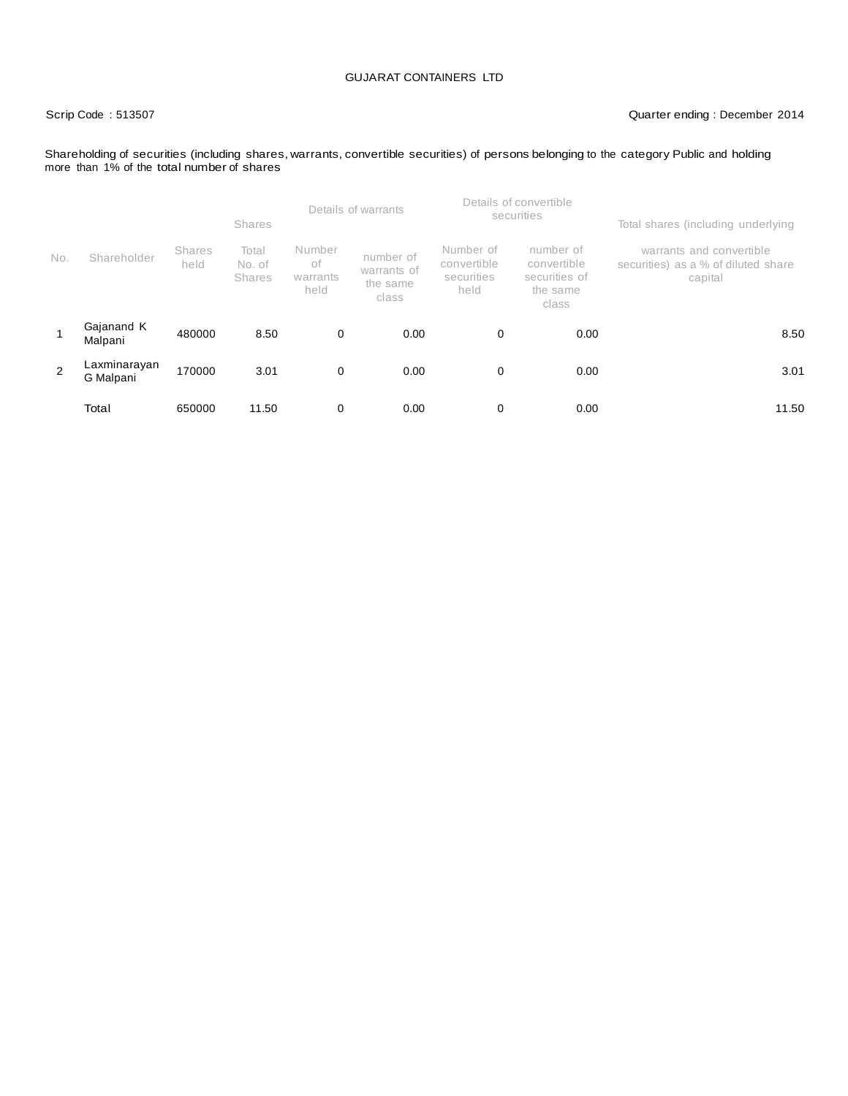#### Scrip Code : 513507 Quarter ending : December 2014

Shareholding of securities (including shares, warrants, convertible securities) of persons belonging to the category Public and holding more than 1% of the total number of shares

|     |                           |                | <b>Shares</b>                    |                                  | Details of warrants                           |                                                | Details of convertible<br>securities                           | Total shares (including underlying                                         |  |  |
|-----|---------------------------|----------------|----------------------------------|----------------------------------|-----------------------------------------------|------------------------------------------------|----------------------------------------------------------------|----------------------------------------------------------------------------|--|--|
| No. | Shareholder               | Shares<br>held | Total<br>No. of<br><b>Shares</b> | Number<br>of<br>warrants<br>held | number of<br>warrants of<br>the same<br>class | Number of<br>convertible<br>securities<br>held | number of<br>convertible<br>securities of<br>the same<br>class | warrants and convertible<br>securities) as a % of diluted share<br>capital |  |  |
|     | Gajanand K<br>Malpani     | 480000         | 8.50                             | 0                                | 0.00                                          | 0                                              | 0.00                                                           | 8.50                                                                       |  |  |
| 2   | Laxminarayan<br>G Malpani | 170000         | 3.01                             | $\mathbf 0$                      | 0.00                                          | 0                                              | 0.00                                                           | 3.01                                                                       |  |  |
|     | Total                     | 650000         | 11.50                            | 0                                | 0.00                                          | 0                                              | 0.00                                                           | 11.50                                                                      |  |  |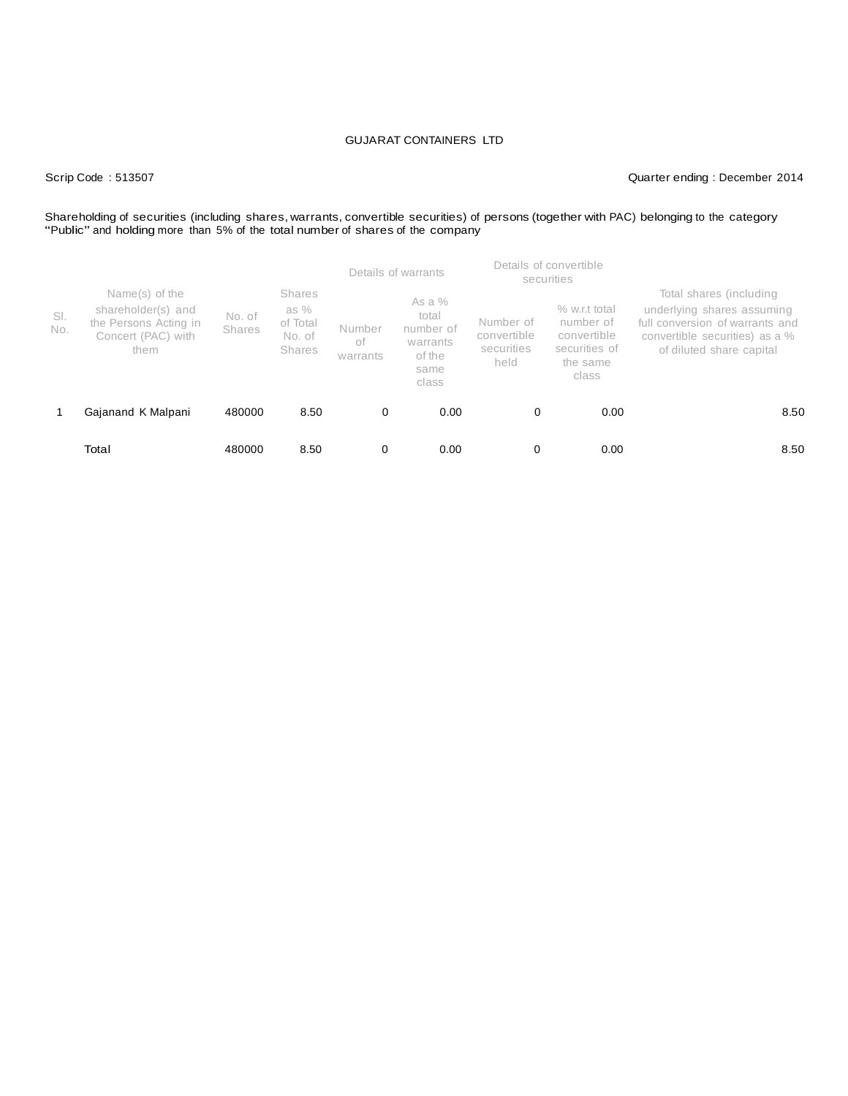#### Scrip Code : 513507 Quarter ending : December 2014

## Shareholding of securities (including shares, warrants, convertible securities) of persons (together with PAC) belonging to the category<br>"Public" and holding more than 5% of the total number of shares of the company

|            |                                                                                             |                         |                                                       | Details of warrants      |                                                                       | Details of convertible<br>securities           |                                                                                   |                                                                                                                                                        |  |
|------------|---------------------------------------------------------------------------------------------|-------------------------|-------------------------------------------------------|--------------------------|-----------------------------------------------------------------------|------------------------------------------------|-----------------------------------------------------------------------------------|--------------------------------------------------------------------------------------------------------------------------------------------------------|--|
| SI.<br>No. | Name(s) of the<br>shareholder(s) and<br>the Persons Acting in<br>Concert (PAC) with<br>them | No. of<br><b>Shares</b> | <b>Shares</b><br>as %<br>of Total<br>No. of<br>Shares | Number<br>of<br>warrants | As a $%$<br>total<br>number of<br>warrants<br>of the<br>same<br>class | Number of<br>convertible<br>securities<br>held | $%$ w.r.t total<br>number of<br>convertible<br>securities of<br>the same<br>class | Total shares (including<br>underlying shares assuming<br>full conversion of warrants and<br>convertible securities) as a %<br>of diluted share capital |  |
|            | Gajanand K Malpani                                                                          | 480000                  | 8.50                                                  | 0                        | 0.00                                                                  | 0                                              | 0.00                                                                              | 8.50                                                                                                                                                   |  |
|            | Total                                                                                       | 480000                  | 8.50                                                  | 0                        | 0.00                                                                  | 0                                              | 0.00                                                                              | 8.50                                                                                                                                                   |  |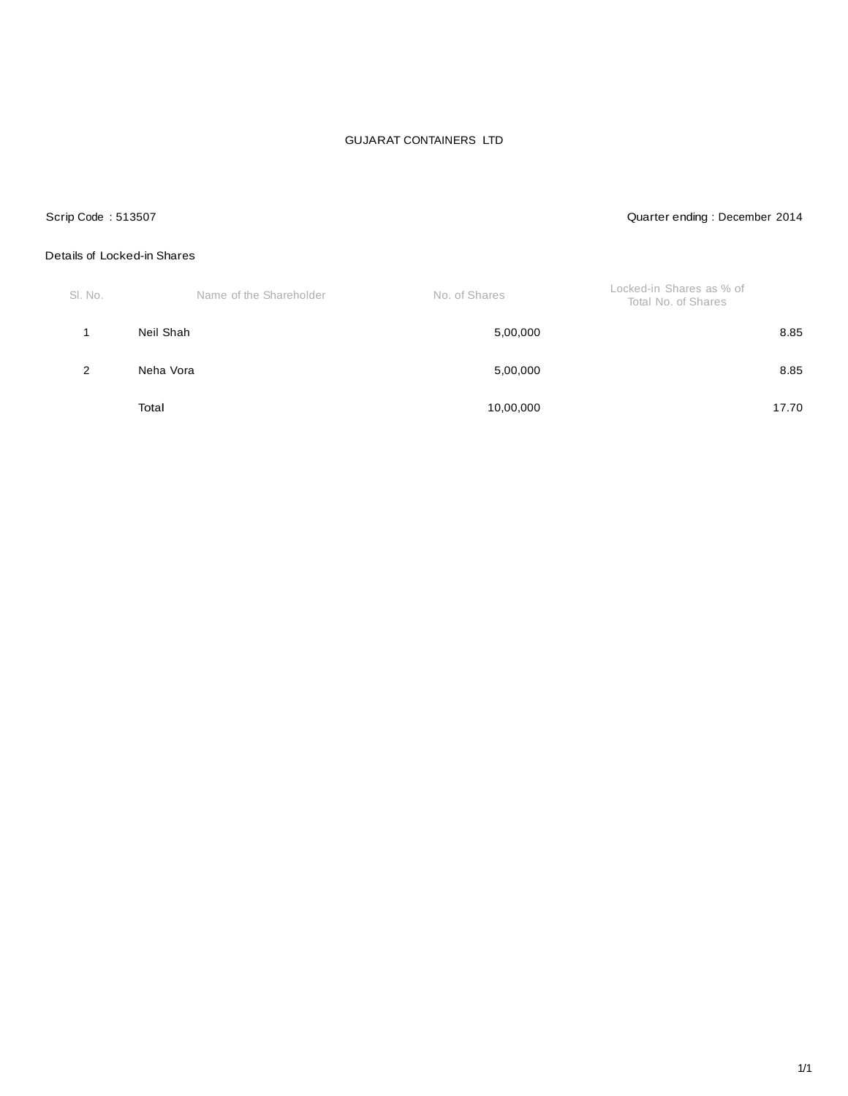### Scrip Code : 513507 Quarter ending : December 2014

#### Details of Locked-in Shares

| SI. No. | Name of the Shareholder | No. of Shares | Locked-in Shares as % of<br>Total No. of Shares |
|---------|-------------------------|---------------|-------------------------------------------------|
|         | Neil Shah               | 5,00,000      | 8.85                                            |
| 2       | Neha Vora               | 5,00,000      | 8.85                                            |
|         | Total                   | 10,00,000     | 17.70                                           |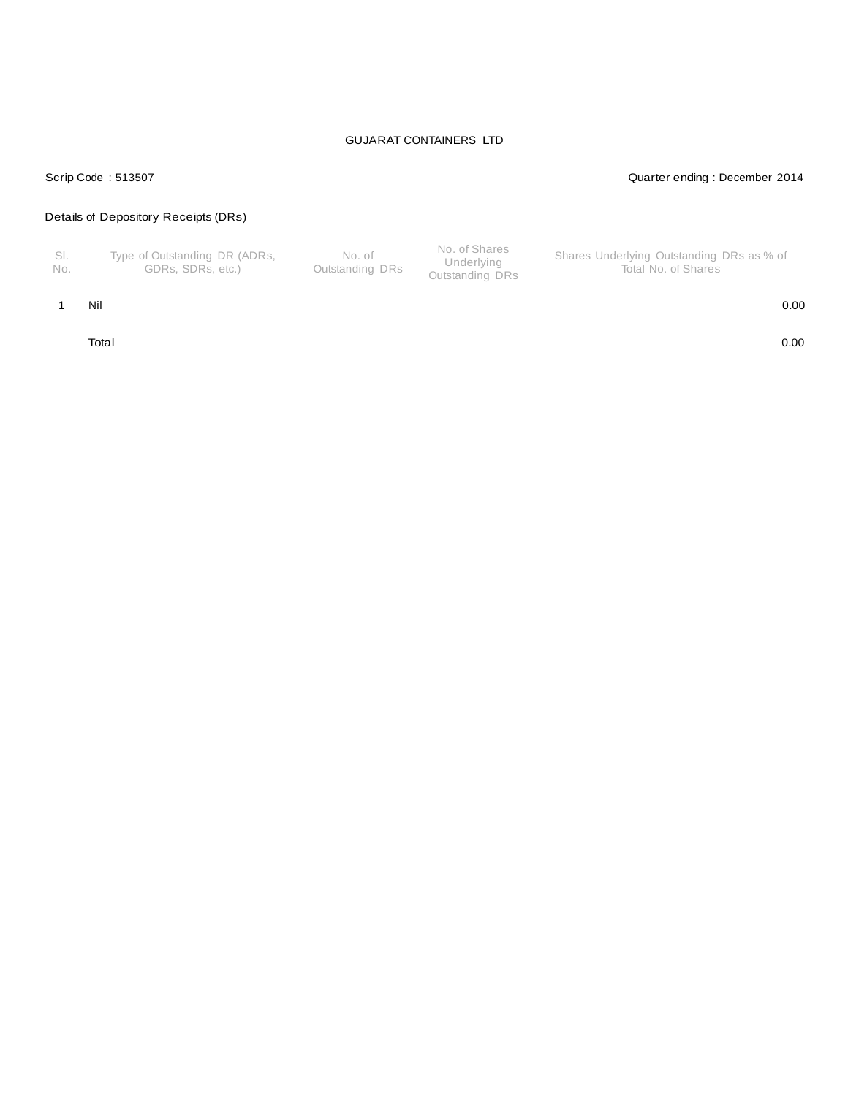### Scrip Code : 513507 Quarter ending : December 2014

#### Details of Depository Receipts (DRs)

| - No. | Type of Outstanding DR (ADRs,<br>GDRs. SDRs. etc.) | No. of<br>Outstanding DRs | No. of Shares<br>Underlying<br>Outstanding DRs | Shares Underlying Outstanding DRs as % of<br>Total No. of Shares |
|-------|----------------------------------------------------|---------------------------|------------------------------------------------|------------------------------------------------------------------|
|-------|----------------------------------------------------|---------------------------|------------------------------------------------|------------------------------------------------------------------|

#### 1 Nil 0.00

Total 0.00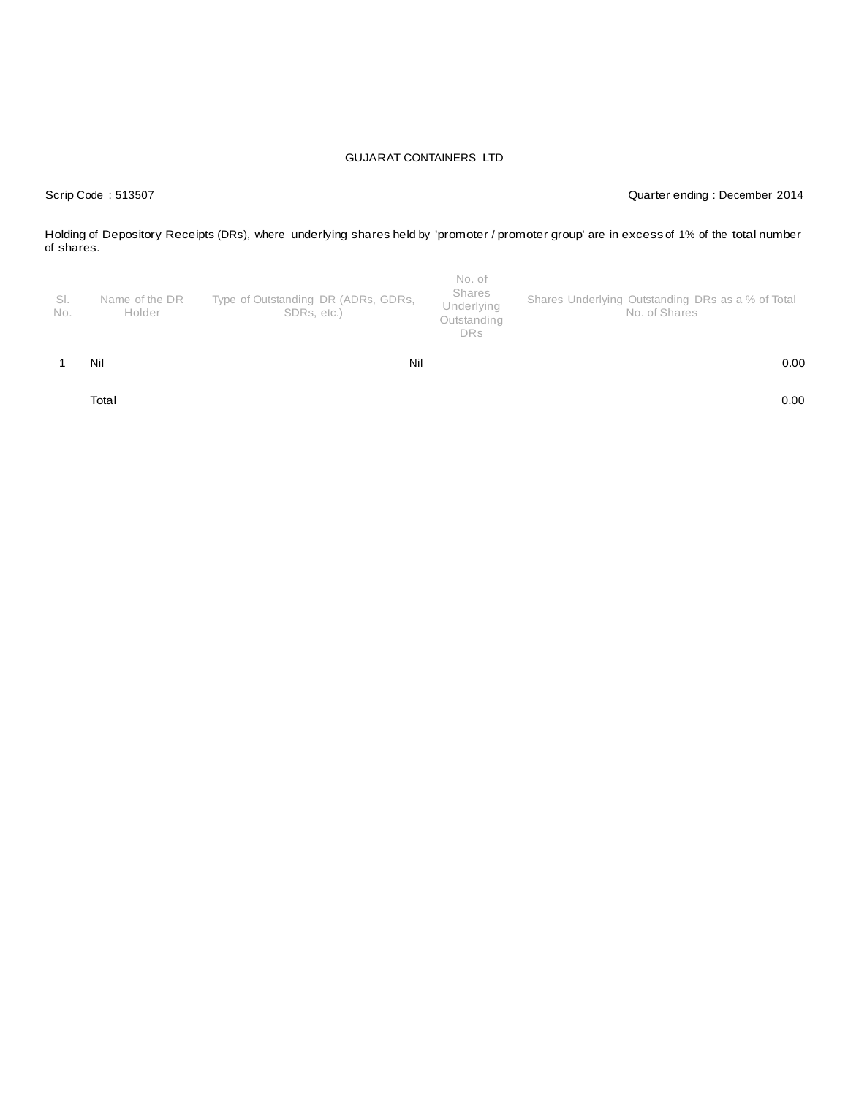Scrip Code : 513507 Quarter ending : December 2014

Holding of Depository Receipts (DRs), where underlying shares held by 'promoter / promoter group' are in excess of 1% of the total number of shares.

| No. | Holder         | SDRs, etc.)                         | Underlying<br>Outstanding<br><b>DRs</b> | No. of Shares<br>0.00                             |
|-----|----------------|-------------------------------------|-----------------------------------------|---------------------------------------------------|
|     |                |                                     |                                         |                                                   |
| SI. | Name of the DR | Type of Outstanding DR (ADRs, GDRs, | No. of<br>Shares                        | Shares Underlying Outstanding DRs as a % of Total |

Total 0.00